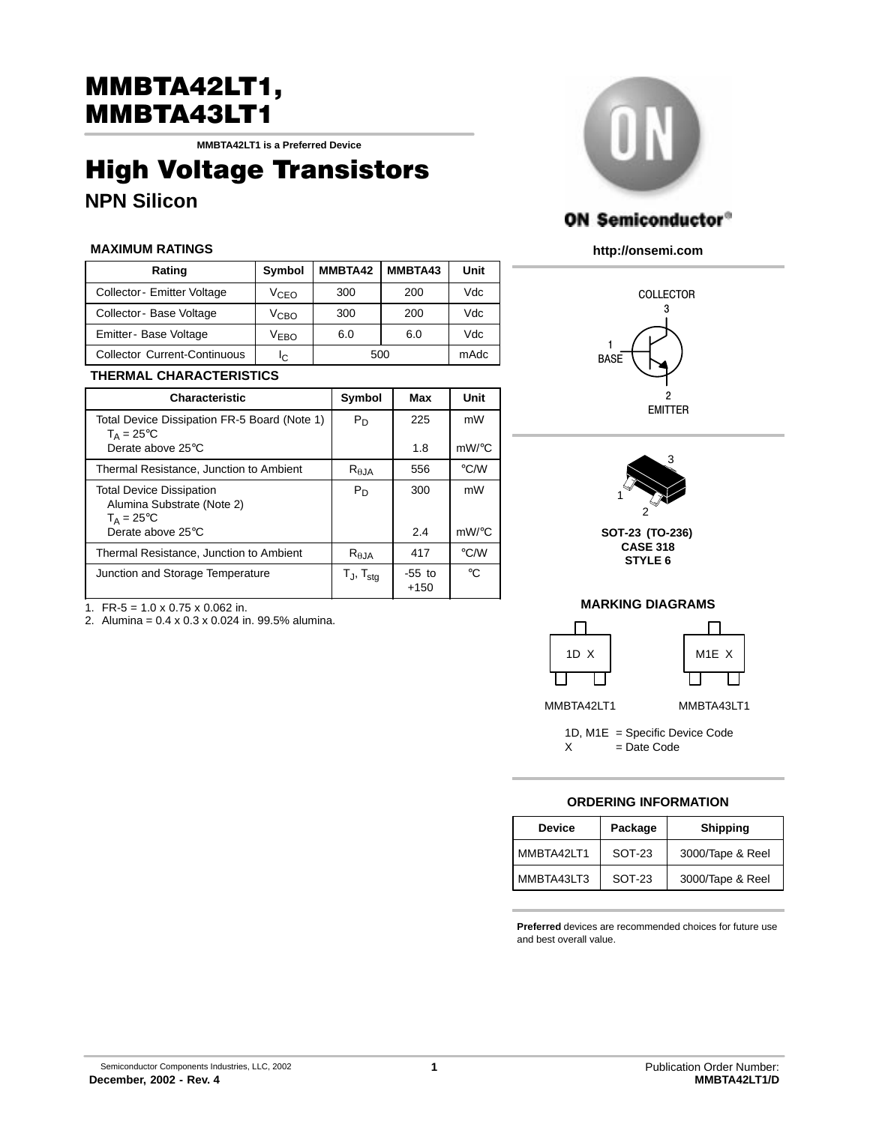# MMBTA42LT1,<br>MMBTA43LT1

MMBTA43LT1 **MMBTA42LT1 is a Preferred Device**

# High Voltage Transistors **NPN Silicon**

### **MAXIMUM RATINGS**

| Rating                              | Symbol           | MMBTA42 | MMBTA43 | Unit |
|-------------------------------------|------------------|---------|---------|------|
| Collector - Emitter Voltage         | V <sub>CEO</sub> | 300     | 200     | Vdc  |
| Collector - Base Voltage            | V <sub>CBO</sub> | 300     | 200     | Vdc  |
| Emitter - Base Voltage              | V <sub>EBO</sub> | 6.0     | 6.0     | Vdc  |
| <b>Collector Current-Continuous</b> | Iс               | 500     |         | mAdc |

## **THERMAL CHARACTERISTICS**

| <b>Characteristic</b>                                                          | Symbol                      | Max                | Unit               |
|--------------------------------------------------------------------------------|-----------------------------|--------------------|--------------------|
| Total Device Dissipation FR-5 Board (Note 1)<br>$T_A = 25$ °C                  | $P_D$                       | 225                | mW                 |
| Derate above 25°C                                                              |                             | 1.8                | $mW$ /°C           |
| Thermal Resistance, Junction to Ambient                                        | $R_{\theta JA}$             | 556                | $\rm ^{\circ}$ C/W |
| <b>Total Device Dissipation</b><br>Alumina Substrate (Note 2)<br>$T_A = 25$ °C | $P_D$                       | 300                | mW                 |
| Derate above 25°C                                                              |                             | 2.4                | $mW$ /°C           |
| Thermal Resistance, Junction to Ambient                                        | $R_{\theta JA}$             | 417                | $\rm ^{\circ}$ C/W |
| Junction and Storage Temperature                                               | $T_{\sf J}$ , $T_{\sf sta}$ | $-55$ to<br>$+150$ | $^{\circ}C$        |

1. FR-5 =  $1.0 \times 0.75 \times 0.062$  in.

2. Alumina = 0.4 x 0.3 x 0.024 in. 99.5% alumina.



## **ON Semiconductor®**

**http://onsemi.com**





**CASE 318 STYLE 6**

## **MARKING DIAGRAMS**



1D, M1E = Specific Device Code  $X = Date Code$ 

### **ORDERING INFORMATION**

| <b>Device</b> | Package | <b>Shipping</b>  |
|---------------|---------|------------------|
| MMBTA42LT1    | SOT-23  | 3000/Tape & Reel |
| MMBTA43LT3    | SOT-23  | 3000/Tape & Reel |

**Preferred** devices are recommended choices for future use and best overall value.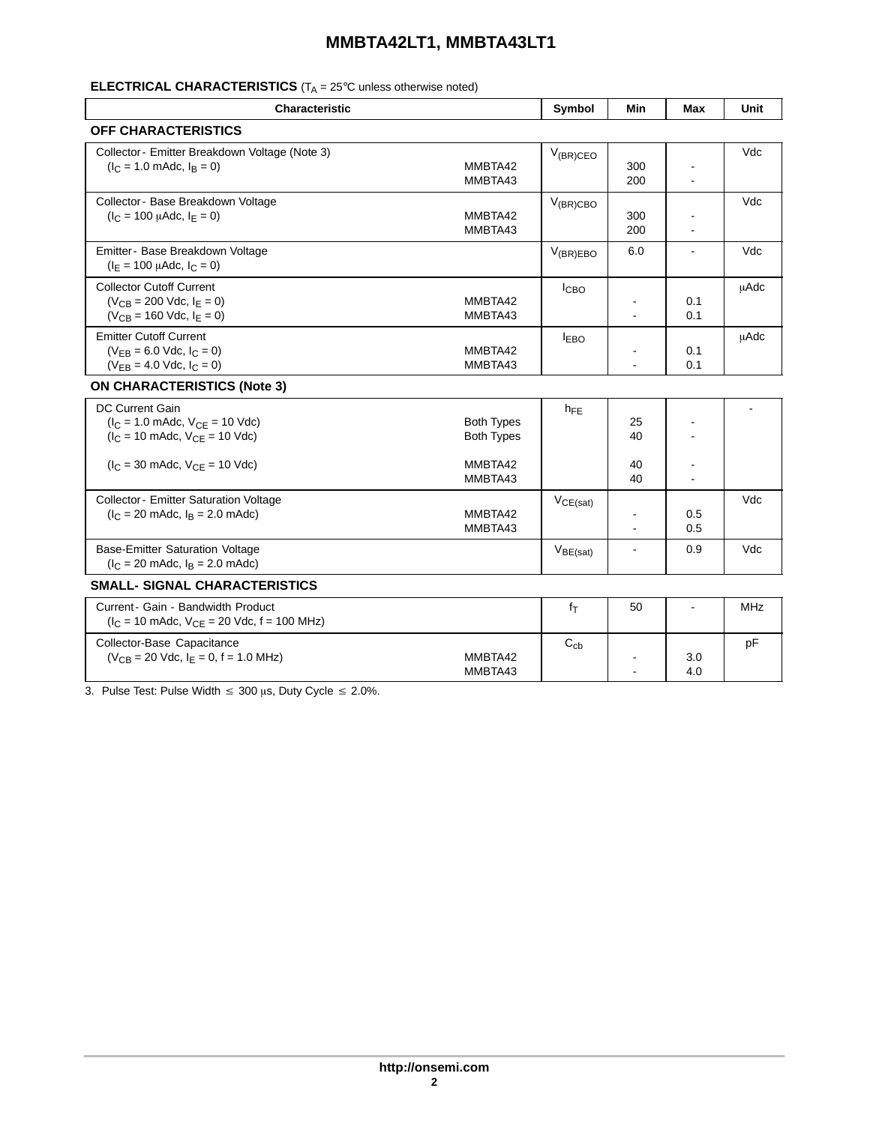## **MMBTA42LT1, MMBTA43LT1**

## **ELECTRICAL CHARACTERISTICS** (T<sub>A</sub> = 25°C unless otherwise noted)

| <b>Characteristic</b>                                                                                                    |                                        | Symbol               | Min            | Max            | Unit        |
|--------------------------------------------------------------------------------------------------------------------------|----------------------------------------|----------------------|----------------|----------------|-------------|
| <b>OFF CHARACTERISTICS</b>                                                                                               |                                        |                      |                |                |             |
| Collector - Emitter Breakdown Voltage (Note 3)<br>$(I_C = 1.0 \text{ m}$ Adc, $I_B = 0$ )                                | MMBTA42<br>MMBTA43                     | $V_{(BR)CEO}$        | 300<br>200     | $\blacksquare$ | Vdc         |
| Collector - Base Breakdown Voltage<br>$(I_C = 100 \mu A dC, I_F = 0)$                                                    | MMBTA42<br>MMBTA43                     | $V_{(BR)CBO}$        | 300<br>200     | L.             | Vdc         |
| Emitter- Base Breakdown Voltage<br>$(I_F = 100 \mu \text{Ad}c, I_C = 0)$                                                 |                                        | $V_{(BR)EBO}$        | 6.0            | $\blacksquare$ | Vdc         |
| <b>Collector Cutoff Current</b><br>$(V_{CB} = 200$ Vdc, $I_F = 0$ )<br>$(V_{CB} = 160$ Vdc, $I_E = 0)$                   | MMBTA42<br>MMBTA43                     | I <sub>CBO</sub>     | $\mathbf{r}$   | 0.1<br>0.1     | <b>µAdc</b> |
| <b>Emitter Cutoff Current</b><br>$(V_{EB} = 6.0$ Vdc, $I_C = 0)$<br>$(V_{FR} = 4.0$ Vdc, $I_C = 0$ )                     | MMBTA42<br>MMBTA43                     | <b>LEBO</b>          |                | 0.1<br>0.1     | <b>µAdc</b> |
| <b>ON CHARACTERISTICS (Note 3)</b>                                                                                       |                                        |                      |                |                |             |
| <b>DC Current Gain</b><br>$(I_C = 1.0 \text{ m}$ Adc, $V_{CE} = 10 \text{ V}$ dc)<br>$I_C = 10$ mAdc, $V_{CF} = 10$ Vdc) | <b>Both Types</b><br><b>Both Types</b> | $h_{FE}$             | 25<br>40       |                |             |
| $(I_C = 30 \text{ m}$ Adc, $V_{CE} = 10 \text{ V}$ dc)                                                                   | MMBTA42<br>MMBTA43                     |                      | 40<br>40       |                |             |
| <b>Collector - Emitter Saturation Voltage</b><br>$(I_C = 20 \text{ m}$ Adc, $I_B = 2.0 \text{ m}$ Adc)                   | MMBTA42<br>MMBTA43                     | VCE(sat)             |                | 0.5<br>0.5     | Vdc         |
| <b>Base-Emitter Saturation Voltage</b><br>$(l_C = 20 \text{ m}$ Adc, $l_B = 2.0 \text{ m}$ Adc)                          |                                        | V <sub>BE(sat)</sub> | $\blacksquare$ | 0.9            | Vdc         |
| <b>SMALL- SIGNAL CHARACTERISTICS</b>                                                                                     |                                        |                      |                |                |             |
| Current - Gain - Bandwidth Product<br>$(I_C = 10 \text{ m}$ Adc, $V_{CE} = 20 \text{ Vdc}$ , f = 100 MHz)                |                                        | fτ                   | 50             |                | <b>MHz</b>  |
| Collector-Base Capacitance<br>$(V_{CB} = 20$ Vdc, $I_E = 0$ , f = 1.0 MHz)                                               | MMBTA42<br>MMBTA43                     | $C_{cb}$             |                | 3.0<br>4.0     | pF          |

3. Pulse Test: Pulse Width  $\leq 300 \,\mu s$ , Duty Cycle  $\leq 2.0\%$ .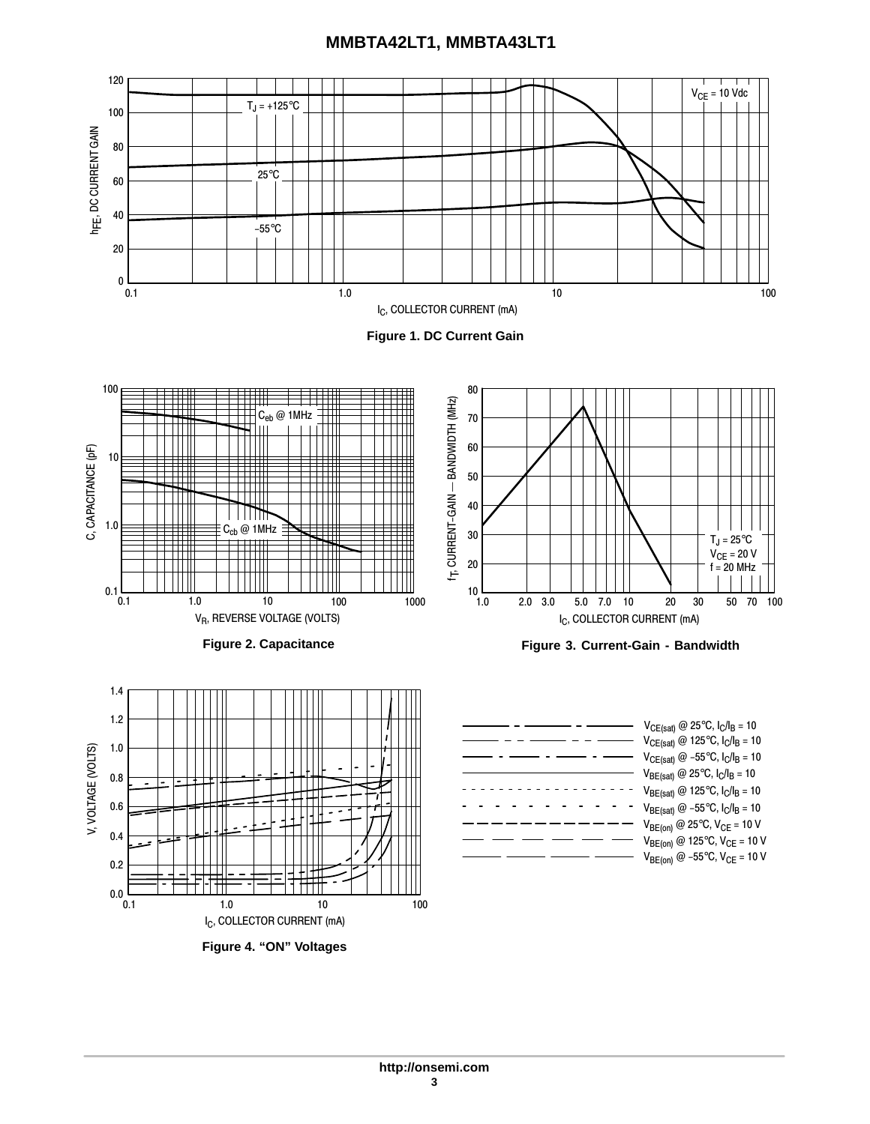## **MMBTA42LT1, MMBTA43LT1**



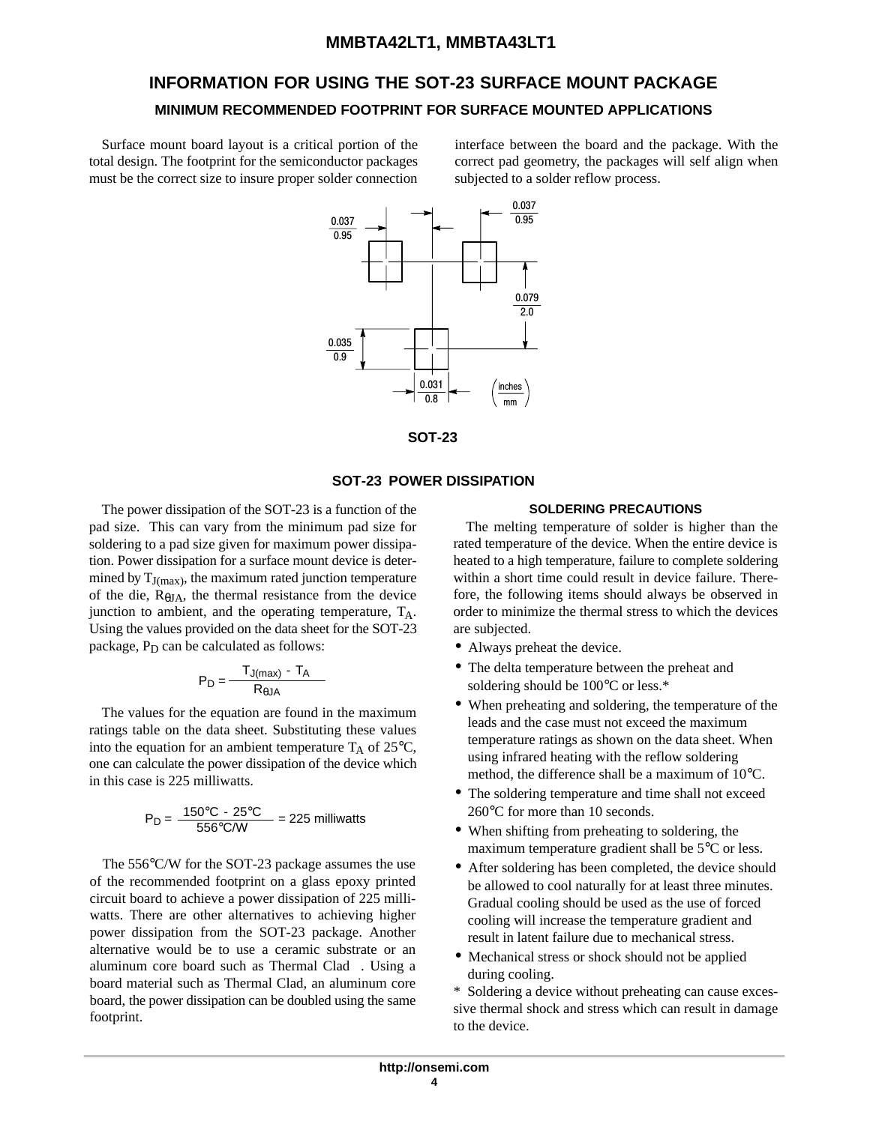## **INFORMATION FOR USING THE SOT-23 SURFACE MOUNT PACKAGE MINIMUM RECOMMENDED FOOTPRINT FOR SURFACE MOUNTED APPLICATIONS**

Surface mount board layout is a critical portion of the total design. The footprint for the semiconductor packages must be the correct size to insure proper solder connection

interface between the board and the package. With the correct pad geometry, the packages will self align when subjected to a solder reflow process.





#### **SOT-23 POWER DISSIPATION**

The power dissipation of the SOT-23 is a function of the pad size. This can vary from the minimum pad size for soldering to a pad size given for maximum power dissipation. Power dissipation for a surface mount device is determined by  $T_{J(max)}$ , the maximum rated junction temperature of the die,  $R_{\theta J}$ , the thermal resistance from the device junction to ambient, and the operating temperature,  $T_A$ . Using the values provided on the data sheet for the SOT-23 package,  $P_D$  can be calculated as follows:

$$
P_D = \frac{T_{J(max)} - T_A}{R_{\theta J A}}
$$

The values for the equation are found in the maximum ratings table on the data sheet. Substituting these values into the equation for an ambient temperature  $T_A$  of 25 $\degree$ C, one can calculate the power dissipation of the device which in this case is 225 milliwatts.

$$
P_D = \frac{150^{\circ}C - 25^{\circ}C}{556^{\circ}C/W} = 225 \text{ milliwatts}
$$

The 556°C/W for the SOT-23 package assumes the use of the recommended footprint on a glass epoxy printed circuit board to achieve a power dissipation of 225 milliwatts. There are other alternatives to achieving higher power dissipation from the SOT-23 package. Another alternative would be to use a ceramic substrate or an aluminum core board such as Thermal Clad<sup>™</sup>. Using a board material such as Thermal Clad, an aluminum core board, the power dissipation can be doubled using the same footprint.

#### **SOLDERING PRECAUTIONS**

The melting temperature of solder is higher than the rated temperature of the device. When the entire device is heated to a high temperature, failure to complete soldering within a short time could result in device failure. Therefore, the following items should always be observed in order to minimize the thermal stress to which the devices are subjected.

- Always preheat the device.
- The delta temperature between the preheat and soldering should be 100°C or less.\*
- When preheating and soldering, the temperature of the leads and the case must not exceed the maximum temperature ratings as shown on the data sheet. When using infrared heating with the reflow soldering method, the difference shall be a maximum of 10°C.
- The soldering temperature and time shall not exceed 260°C for more than 10 seconds.
- When shifting from preheating to soldering, the maximum temperature gradient shall be 5°C or less.
- After soldering has been completed, the device should be allowed to cool naturally for at least three minutes. Gradual cooling should be used as the use of forced cooling will increase the temperature gradient and result in latent failure due to mechanical stress.
- Mechanical stress or shock should not be applied during cooling.

\* Soldering a device without preheating can cause excessive thermal shock and stress which can result in damage to the device.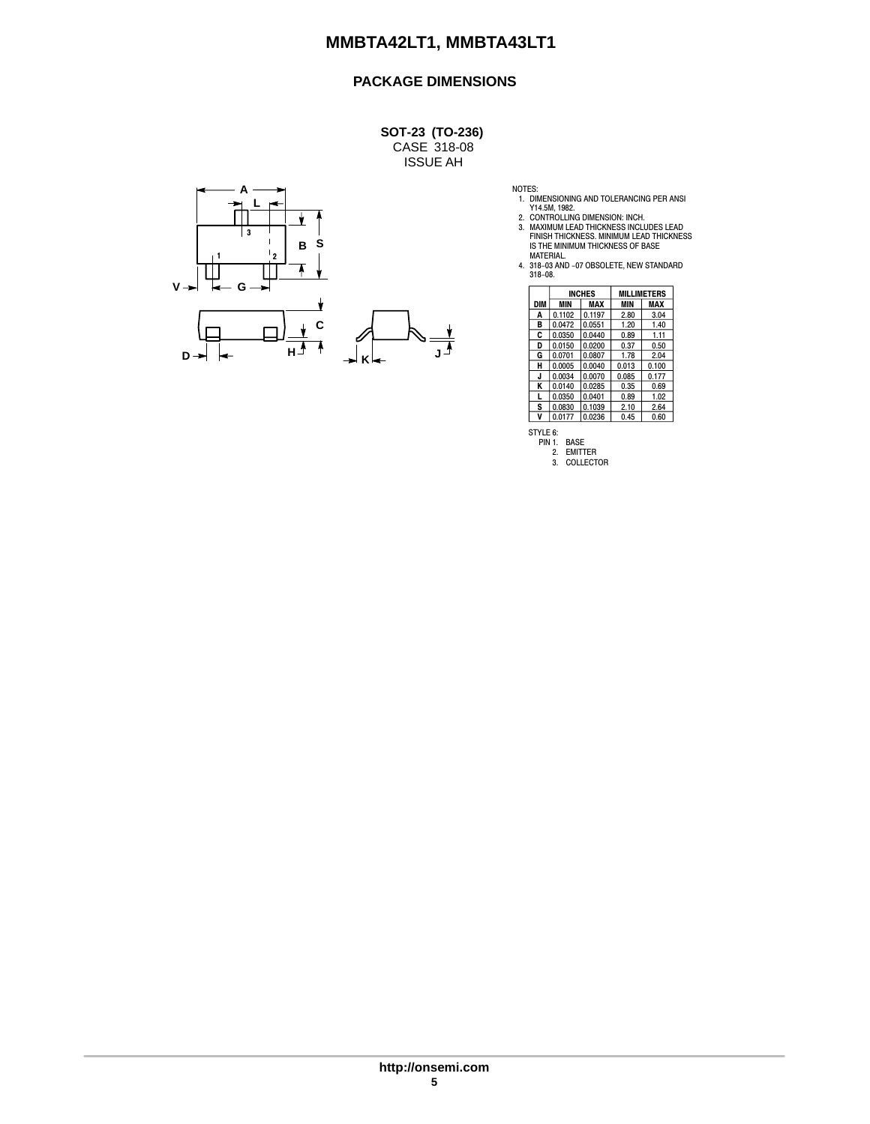## **PACKAGE DIMENSIONS**

CASE 318-08 ISSUE AH **SOT-23 (TO-236)**



NOTES:<br>1. DIMENSIONING AND TOLERANCING PER ANSI<br>2. CONTROLLING DIMENSION: INCH.<br>3. MAXIMUM LEAD THICKNESS INCLUDES LEAD<br>5. MAXIMUM LEAD THICKNESS MOINIUM LEAD THICKNESS<br>15 THE MINIMUM THICKNESS OF BASE<br>MATERIAL.<br>4. 318-08.

|     | <b>INCHES</b> |        |       | <b>MILLIMETERS</b> |
|-----|---------------|--------|-------|--------------------|
| DIM | MIN           | MAX    | MIN   | MAX                |
| A   | 0.1102        | 0.1197 | 2.80  | 3.04               |
| в   | 0.0472        | 0.0551 | 1.20  | 1.40               |
| C   | 0.0350        | 0.0440 | 0.89  | 1.11               |
| D   | 0.0150        | 0.0200 | 0.37  | 0.50               |
| G   | 0.0701        | 0.0807 | 1.78  | 2.04               |
| н   | 0.0005        | 0.0040 | 0.013 | 0.100              |
| J   | 0.0034        | 0.0070 | 0.085 | 0.177              |
| ĸ   | 0.0140        | 0.0285 | 0.35  | 0.69               |
| L   | 0.0350        | 0.0401 | 0.89  | 1.02               |
| S   | 0.0830        | 0.1039 | 2.10  | 2.64               |
| v   | 0.0177        | 0.0236 | 0.45  | 0.60               |

STYLE 6: PIN 1. BASE

2. EMITTER 3. COLLECTOR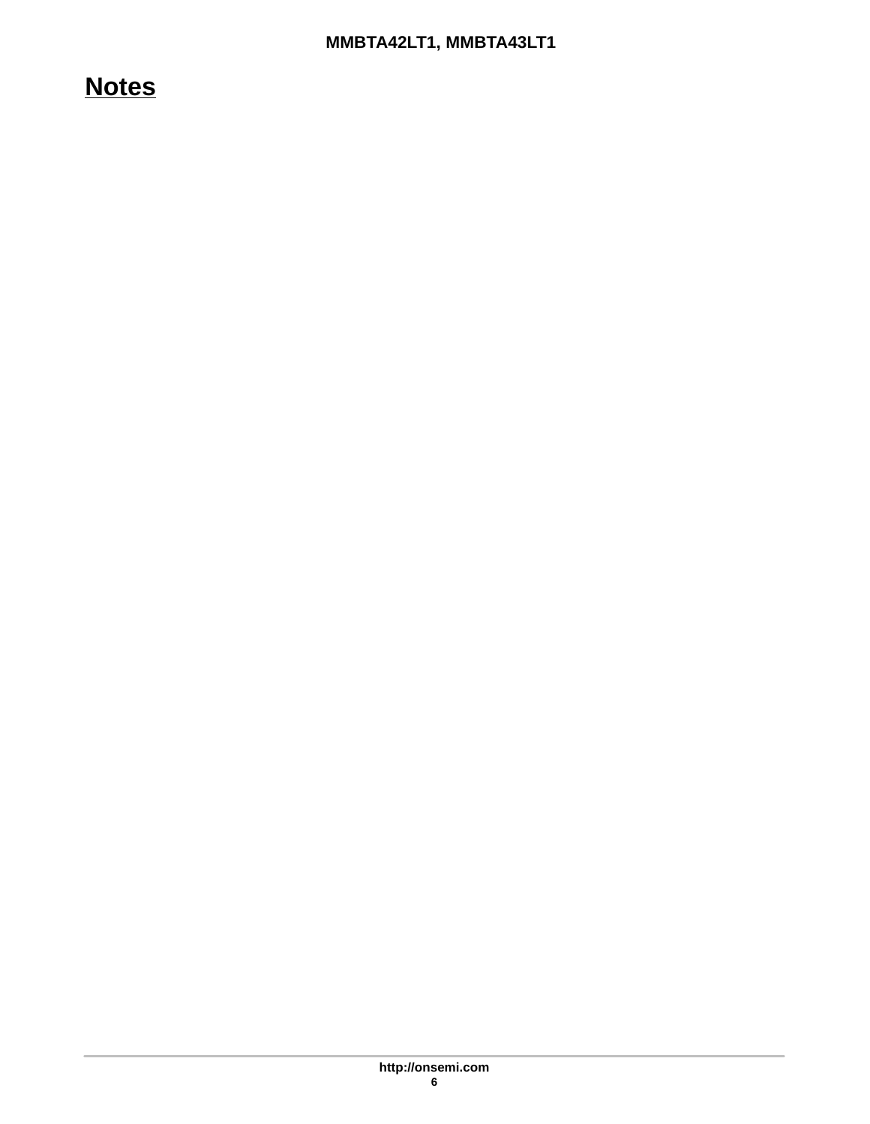## **Notes**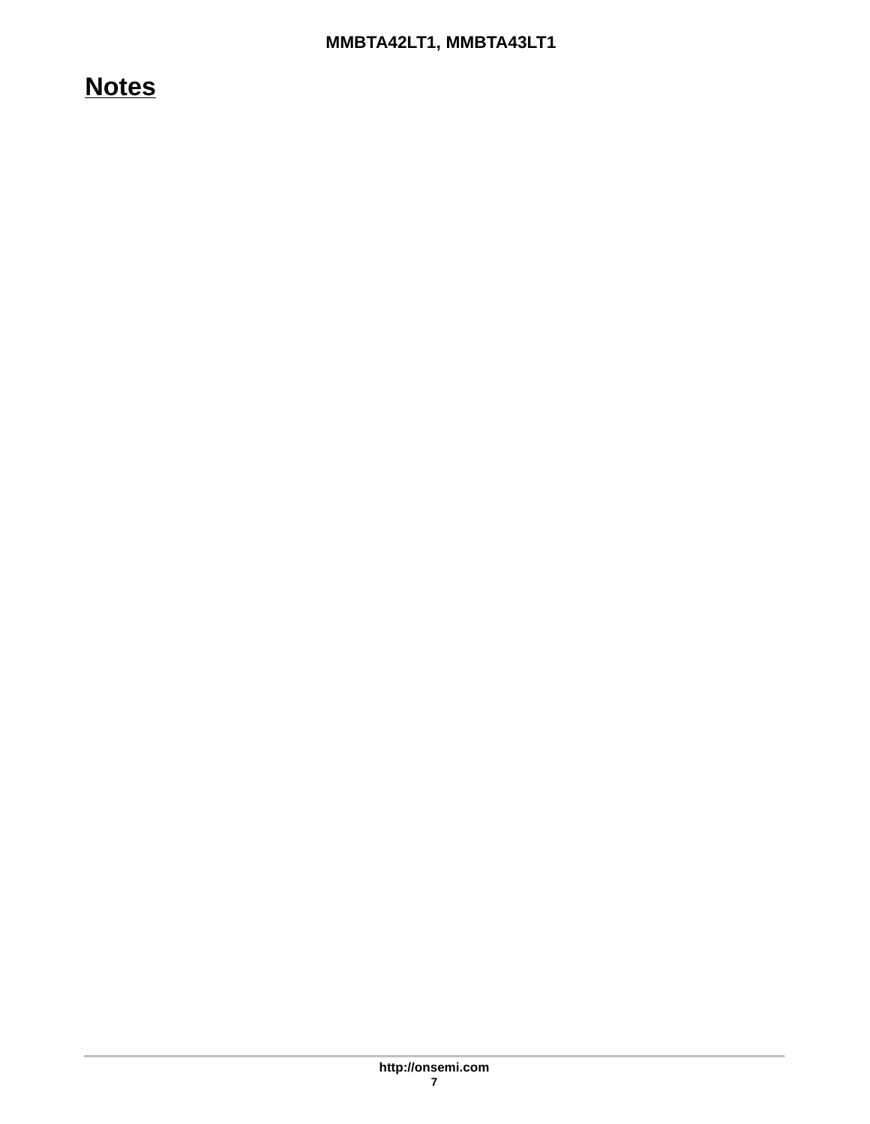## **Notes**